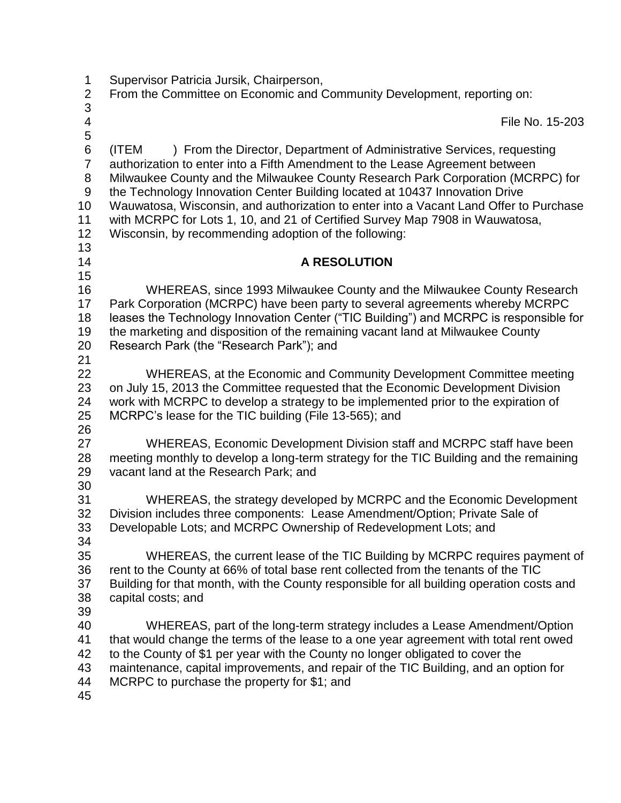| $\mathbf 1$<br>$\overline{2}$                             | Supervisor Patricia Jursik, Chairperson,<br>From the Committee on Economic and Community Development, reporting on:                                                                                                                                                                                                                                                                                                                                                                                                                                                 |
|-----------------------------------------------------------|---------------------------------------------------------------------------------------------------------------------------------------------------------------------------------------------------------------------------------------------------------------------------------------------------------------------------------------------------------------------------------------------------------------------------------------------------------------------------------------------------------------------------------------------------------------------|
| 3                                                         |                                                                                                                                                                                                                                                                                                                                                                                                                                                                                                                                                                     |
| 4<br>5                                                    | File No. 15-203                                                                                                                                                                                                                                                                                                                                                                                                                                                                                                                                                     |
| 6<br>$\overline{7}$<br>8<br>$9\,$<br>10<br>11<br>12<br>13 | (ITEM<br>) From the Director, Department of Administrative Services, requesting<br>authorization to enter into a Fifth Amendment to the Lease Agreement between<br>Milwaukee County and the Milwaukee County Research Park Corporation (MCRPC) for<br>the Technology Innovation Center Building located at 10437 Innovation Drive<br>Wauwatosa, Wisconsin, and authorization to enter into a Vacant Land Offer to Purchase<br>with MCRPC for Lots 1, 10, and 21 of Certified Survey Map 7908 in Wauwatosa,<br>Wisconsin, by recommending adoption of the following: |
| 14                                                        | <b>A RESOLUTION</b>                                                                                                                                                                                                                                                                                                                                                                                                                                                                                                                                                 |
| 15                                                        |                                                                                                                                                                                                                                                                                                                                                                                                                                                                                                                                                                     |
| 16<br>17<br>18<br>19<br>20<br>21                          | WHEREAS, since 1993 Milwaukee County and the Milwaukee County Research<br>Park Corporation (MCRPC) have been party to several agreements whereby MCRPC<br>leases the Technology Innovation Center ("TIC Building") and MCRPC is responsible for<br>the marketing and disposition of the remaining vacant land at Milwaukee County<br>Research Park (the "Research Park"); and                                                                                                                                                                                       |
| 22<br>23<br>24<br>25                                      | WHEREAS, at the Economic and Community Development Committee meeting<br>on July 15, 2013 the Committee requested that the Economic Development Division<br>work with MCRPC to develop a strategy to be implemented prior to the expiration of<br>MCRPC's lease for the TIC building (File 13-565); and                                                                                                                                                                                                                                                              |
| 26<br>27<br>28<br>29<br>30                                | WHEREAS, Economic Development Division staff and MCRPC staff have been<br>meeting monthly to develop a long-term strategy for the TIC Building and the remaining<br>vacant land at the Research Park; and                                                                                                                                                                                                                                                                                                                                                           |
| 31<br>32<br>33<br>34                                      | WHEREAS, the strategy developed by MCRPC and the Economic Development<br>Division includes three components: Lease Amendment/Option; Private Sale of<br>Developable Lots; and MCRPC Ownership of Redevelopment Lots; and                                                                                                                                                                                                                                                                                                                                            |
| 35<br>36<br>37<br>38                                      | WHEREAS, the current lease of the TIC Building by MCRPC requires payment of<br>rent to the County at 66% of total base rent collected from the tenants of the TIC<br>Building for that month, with the County responsible for all building operation costs and<br>capital costs; and                                                                                                                                                                                                                                                                                |
| 39<br>40<br>41<br>42<br>43<br>44<br>45                    | WHEREAS, part of the long-term strategy includes a Lease Amendment/Option<br>that would change the terms of the lease to a one year agreement with total rent owed<br>to the County of \$1 per year with the County no longer obligated to cover the<br>maintenance, capital improvements, and repair of the TIC Building, and an option for<br>MCRPC to purchase the property for \$1; and                                                                                                                                                                         |